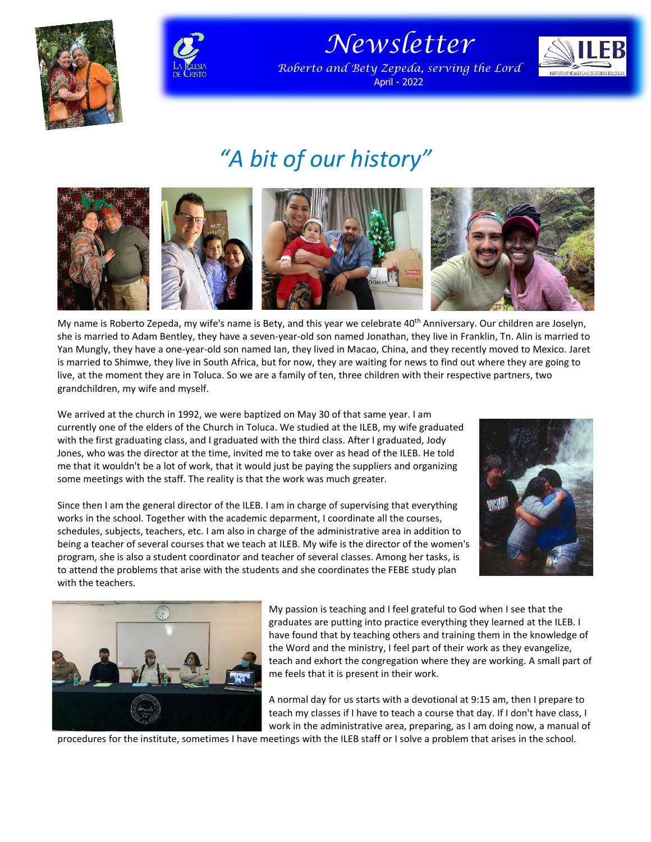



*Newsletter*

*Roberto and Bety Zepeda, serving the Lord* April - 2022



## *"A bit of our history"*



My name is Roberto Zepeda, my wife's name is Bety, and this year we celebrate 40<sup>th</sup> Anniversary. Our children are Joselyn, she is married to Adam Bentley, they have a seven-year-old son named Jonathan, they live in Franklin, Tn. Alin is married to Yan Mungly, they have a one-year-old son named Ian, they lived in Macao, China, and they recently moved to Mexico. Jaret is married to Shimwe, they live in South Africa, but for now, they are waiting for news to find out where they are going to live, at the moment they are in Toluca. So we are a family of ten, three children with their respective partners, two grandchildren, my wife and myself.

We arrived at the church in 1992, we were baptized on May 30 of that same year. I am currently one of the elders of the Church in Toluca. We studied at the ILEB, my wife graduated with the first graduating class, and I graduated with the third class. After I graduated, Jody Jones, who was the director at the time, invited me to take over as head of the ILEB. He told me that it wouldn't be a lot of work, that it would just be paying the suppliers and organizing some meetings with the staff. The reality is that the work was much greater.



Since then I am the general director of the ILEB. I am in charge of supervising that everything works in the school. Together with the academic deparment, I coordinate all the courses, schedules, subjects, teachers, etc. I am also in charge of the administrative area in addition to being a teacher of several courses that we teach at ILEB. My wife is the director of the women's program, she is also a student coordinator and teacher of several classes. Among her tasks, is to attend the problems that arise with the students and she coordinates the FEBE study plan with the teachers.



My passion is teaching and I feel grateful to God when I see that the graduates are putting into practice everything they learned at the ILEB. I have found that by teaching others and training them in the knowledge of the Word and the ministry, I feel part of their work as they evangelize, teach and exhort the congregation where they are working. A small part of me feels that it is present in their work.

A normal day for us starts with a devotional at 9:15 am, then I prepare to teach my classes if I have to teach a course that day. If I don't have class, I work in the administrative area, preparing, as I am doing now, a manual of

procedures for the institute, sometimes I have meetings with the ILEB staff or I solve a problem that arises in the school.